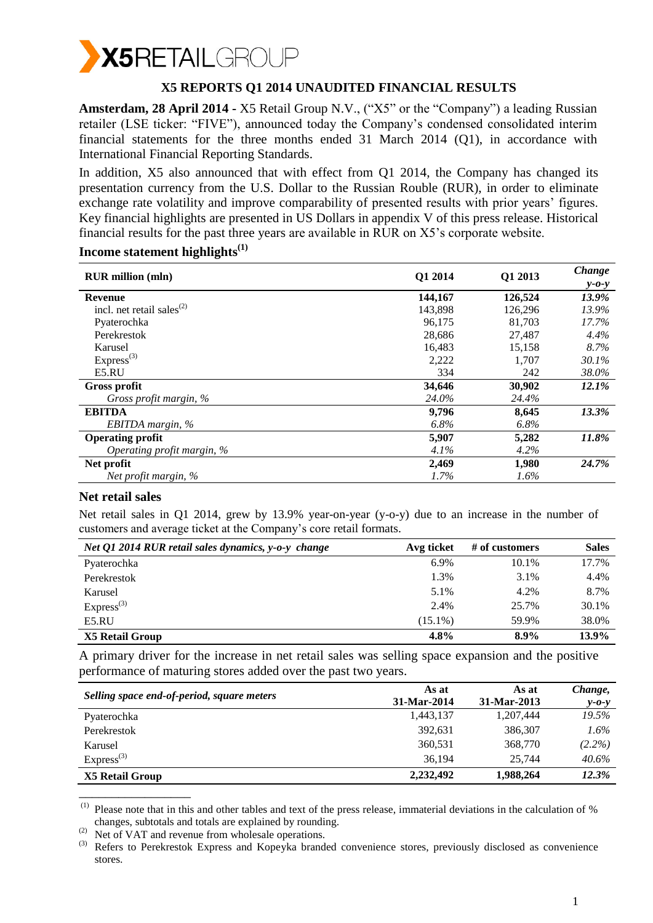

## **X5 REPORTS Q1 2014 UNAUDITED FINANCIAL RESULTS**

**Amsterdam, 28 April 2014 -** X5 Retail Group N.V., ("X5" or the "Company") a leading Russian retailer (LSE ticker: "FIVE"), announced today the Company's condensed consolidated interim financial statements for the three months ended 31 March 2014 (Q1), in accordance with International Financial Reporting Standards.

In addition, X5 also announced that with effect from Q1 2014, the Company has changed its presentation currency from the U.S. Dollar to the Russian Rouble (RUR), in order to eliminate exchange rate volatility and improve comparability of presented results with prior years' figures. Key financial highlights are presented in US Dollars in appendix V of this press release. Historical financial results for the past three years are available in RUR on X5's corporate website.

| <b>RUR</b> million (mln)                           | Q1 2014 | Q1 2013 | Change      |
|----------------------------------------------------|---------|---------|-------------|
|                                                    |         |         | $y - 0 - y$ |
| <b>Revenue</b>                                     | 144,167 | 126,524 | 13.9%       |
| incl. net retail sales <sup><math>(2)</math></sup> | 143,898 | 126,296 | 13.9%       |
| Pyaterochka                                        | 96,175  | 81,703  | 17.7%       |
| Perekrestok                                        | 28,686  | 27,487  | 4.4%        |
| Karusel                                            | 16,483  | 15.158  | 8.7%        |
| $Express^{(3)}$                                    | 2,222   | 1.707   | 30.1%       |
| E5.RU                                              | 334     | 242     | 38.0%       |
| <b>Gross profit</b>                                | 34,646  | 30,902  | 12.1%       |
| Gross profit margin, %                             | 24.0%   | 24.4%   |             |
| <b>EBITDA</b>                                      | 9,796   | 8,645   | 13.3%       |
| EBITDA margin, $%$                                 | 6.8%    | $6.8\%$ |             |
| <b>Operating profit</b>                            | 5,907   | 5,282   | 11.8%       |
| Operating profit margin, %                         | $4.1\%$ | 4.2%    |             |
| Net profit                                         | 2,469   | 1,980   | 24.7%       |
| Net profit margin, $%$                             | 1.7%    | $1.6\%$ |             |

## **Income statement highlights(1)**

#### **Net retail sales**

\_\_\_\_\_\_\_\_\_\_\_\_\_\_\_\_\_

Net retail sales in Q1 2014, grew by 13.9% year-on-year (y-o-y) due to an increase in the number of customers and average ticket at the Company's core retail formats.

| Net Q1 2014 RUR retail sales dynamics, y-o-y change | Avg ticket | $#$ of customers | <b>Sales</b> |
|-----------------------------------------------------|------------|------------------|--------------|
| Pyaterochka                                         | 6.9%       | 10.1%            | 17.7%        |
| Perekrestok                                         | 1.3%       | 3.1%             | 4.4%         |
| Karusel                                             | 5.1%       | 4.2%             | 8.7%         |
| $Express^{(3)}$                                     | 2.4%       | 25.7%            | 30.1%        |
| E5.RU                                               | $(15.1\%)$ | 59.9%            | 38.0%        |
| X5 Retail Group                                     | 4.8%       | $8.9\%$          | 13.9%        |

A primary driver for the increase in net retail sales was selling space expansion and the positive performance of maturing stores added over the past two years.

|                                            | As at       | As at       | Change,     |
|--------------------------------------------|-------------|-------------|-------------|
| Selling space end-of-period, square meters | 31-Mar-2014 | 31-Mar-2013 | $y - 0 - y$ |
| Pyaterochka                                | 1,443,137   | 1,207,444   | 19.5%       |
| Perekrestok                                | 392.631     | 386,307     | $1.6\%$     |
| Karusel                                    | 360,531     | 368,770     | $(2.2\%)$   |
| $Express^{(3)}$                            | 36.194      | 25,744      | $40.6\%$    |
| <b>X5 Retail Group</b>                     | 2,232,492   | 1,988,264   | 12.3%       |

 $(1)$  Please note that in this and other tables and text of the press release, immaterial deviations in the calculation of % changes, subtotals and totals are explained by rounding.

<sup>(2)</sup> Net of VAT and revenue from wholesale operations.

<sup>&</sup>lt;sup>(3)</sup> Refers to Perekrestok Express and Kopeyka branded convenience stores, previously disclosed as convenience stores.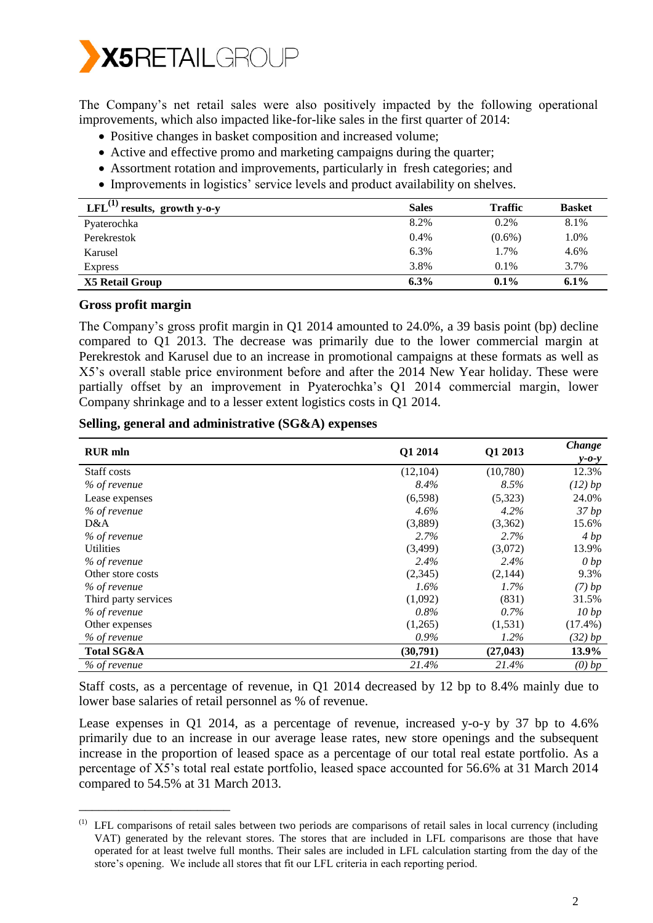

The Company's net retail sales were also positively impacted by the following operational improvements, which also impacted like-for-like sales in the first quarter of 2014:

- Positive changes in basket composition and increased volume;
- Active and effective promo and marketing campaigns during the quarter;
- Assortment rotation and improvements, particularly in fresh categories; and
- Improvements in logistics' service levels and product availability on shelves.

| LFL $^{(1)}$ results, growth y-o-y | <b>Sales</b> | <b>Traffic</b> | <b>Basket</b> |
|------------------------------------|--------------|----------------|---------------|
| Pyaterochka                        | 8.2%         | 0.2%           | 8.1%          |
| Perekrestok                        | 0.4%         | $(0.6\%)$      | 1.0%          |
| Karusel                            | 6.3%         | 1.7%           | 4.6%          |
| <b>Express</b>                     | 3.8%         | $0.1\%$        | 3.7%          |
| X5 Retail Group                    | $6.3\%$      | $0.1\%$        | $6.1\%$       |

#### **Gross profit margin**

\_\_\_\_\_\_\_\_\_\_\_\_\_\_\_\_\_\_\_\_\_\_\_

The Company's gross profit margin in Q1 2014 amounted to 24.0%, a 39 basis point (bp) decline compared to Q1 2013. The decrease was primarily due to the lower commercial margin at Perekrestok and Karusel due to an increase in promotional campaigns at these formats as well as X5's overall stable price environment before and after the 2014 New Year holiday. These were partially offset by an improvement in Pyaterochka's Q1 2014 commercial margin, lower Company shrinkage and to a lesser extent logistics costs in Q1 2014.

| Q1 2014<br><b>RUR</b> mln |           | Q1 2013   | Change     |
|---------------------------|-----------|-----------|------------|
|                           |           |           | $y$ -0-y   |
| Staff costs               | (12, 104) | (10,780)  | 12.3%      |
| % of revenue              | 8.4%      | 8.5%      | $(12)$ bp  |
| Lease expenses            | (6,598)   | (5,323)   | 24.0%      |
| % of revenue              | $4.6\%$   | 4.2%      | 37bp       |
| D&A                       | (3,889)   | (3,362)   | 15.6%      |
| % of revenue              | 2.7%      | $2.7\%$   | 4bp        |
| <b>Utilities</b>          | (3,499)   | (3,072)   | 13.9%      |
| % of revenue              | 2.4%      | 2.4%      | 0 bp       |
| Other store costs         | (2,345)   | (2,144)   | 9.3%       |
| % of revenue              | $1.6\%$   | $1.7\%$   | $(7)$ bp   |
| Third party services      | (1,092)   | (831)     | 31.5%      |
| % of revenue              | $0.8\%$   | $0.7\%$   | 10 bp      |
| Other expenses            | (1,265)   | (1,531)   | $(17.4\%)$ |
| % of revenue              | $0.9\%$   | 1.2%      | $(32)$ bp  |
| Total SG&A                | (30,791)  | (27, 043) | 13.9%      |
| % of revenue              | 21.4%     | 21.4%     | $(0)$ bp   |

#### **Selling, general and administrative (SG&A) expenses**

Staff costs, as a percentage of revenue, in Q1 2014 decreased by 12 bp to 8.4% mainly due to lower base salaries of retail personnel as % of revenue.

Lease expenses in Q1 2014, as a percentage of revenue, increased y-o-y by 37 bp to 4.6% primarily due to an increase in our average lease rates, new store openings and the subsequent increase in the proportion of leased space as a percentage of our total real estate portfolio. As a percentage of X5's total real estate portfolio, leased space accounted for 56.6% at 31 March 2014 compared to 54.5% at 31 March 2013.

 $<sup>(1)</sup>$  LFL comparisons of retail sales between two periods are comparisons of retail sales in local currency (including</sup> VAT) generated by the relevant stores. The stores that are included in LFL comparisons are those that have operated for at least twelve full months. Their sales are included in LFL calculation starting from the day of the store's opening. We include all stores that fit our LFL criteria in each reporting period.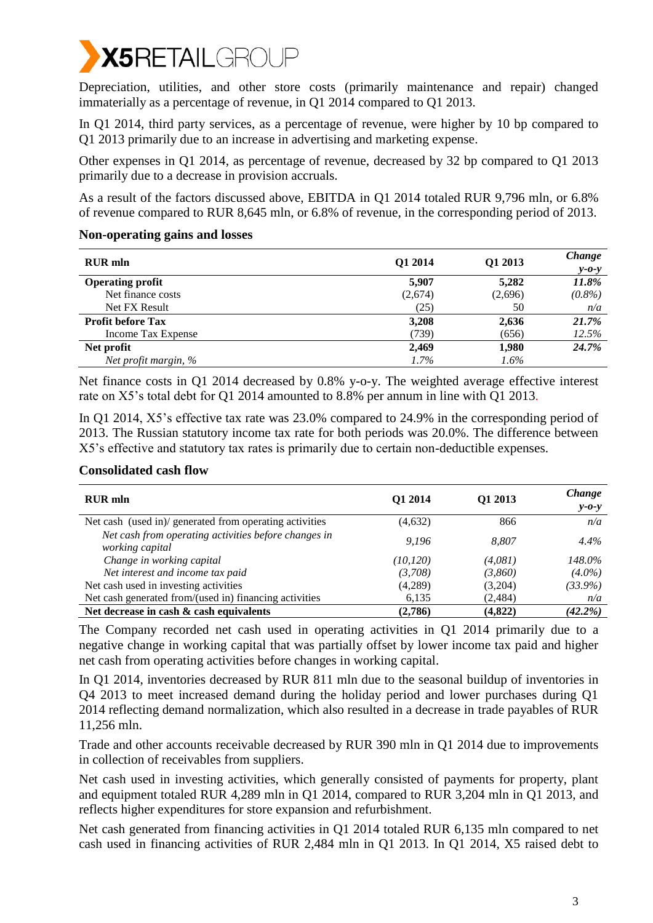

Depreciation, utilities, and other store costs (primarily maintenance and repair) changed immaterially as a percentage of revenue, in Q1 2014 compared to Q1 2013.

In Q1 2014, third party services, as a percentage of revenue, were higher by 10 bp compared to Q1 2013 primarily due to an increase in advertising and marketing expense.

Other expenses in Q1 2014, as percentage of revenue, decreased by 32 bp compared to Q1 2013 primarily due to a decrease in provision accruals.

As a result of the factors discussed above, EBITDA in Q1 2014 totaled RUR 9,796 mln, or 6.8% of revenue compared to RUR 8,645 mln, or 6.8% of revenue, in the corresponding period of 2013.

#### **Non-operating gains and losses**

| <b>RUR</b> mln           | Q1 2014 | Q1 2013 | Change<br>$y - 0 - y$ |
|--------------------------|---------|---------|-----------------------|
| <b>Operating profit</b>  | 5,907   | 5,282   | 11.8%                 |
| Net finance costs        | (2,674) | (2,696) | $(0.8\%)$             |
| Net FX Result            | (25)    | 50      | n/a                   |
| <b>Profit before Tax</b> | 3,208   | 2,636   | 21.7%                 |
| Income Tax Expense       | (739)   | (656)   | 12.5%                 |
| Net profit               | 2,469   | 1,980   | 24.7%                 |
| Net profit margin, %     | 1.7%    | $1.6\%$ |                       |

Net finance costs in Q1 2014 decreased by 0.8% y-o-y. The weighted average effective interest rate on X5's total debt for Q1 2014 amounted to 8.8% per annum in line with Q1 2013.

In Q1 2014, X5's effective tax rate was 23.0% compared to 24.9% in the corresponding period of 2013. The Russian statutory income tax rate for both periods was 20.0%. The difference between X5's effective and statutory tax rates is primarily due to certain non-deductible expenses.

#### **Consolidated cash flow**

| <b>RUR</b> mln                                                          | O1 2014   | Q1 2013 | Change<br>$y$ - $o$ -y |
|-------------------------------------------------------------------------|-----------|---------|------------------------|
| Net cash (used in)/ generated from operating activities                 | (4,632)   | 866     | n/a                    |
| Net cash from operating activities before changes in<br>working capital | 9.196     | 8.807   | $4.4\%$                |
| Change in working capital                                               | (10, 120) | (4,081) | 148.0%                 |
| Net interest and income tax paid                                        | (3,708)   | (3,860) | $(4.0\%)$              |
| Net cash used in investing activities                                   | (4,289)   | (3,204) | $(33.9\%)$             |
| Net cash generated from/(used in) financing activities                  | 6,135     | (2,484) | n/a                    |
| Net decrease in cash $\&$ cash equivalents                              | (2,786)   | (4,822) | $(42.2\%)$             |

The Company recorded net cash used in operating activities in Q1 2014 primarily due to a negative change in working capital that was partially offset by lower income tax paid and higher net cash from operating activities before changes in working capital.

In Q1 2014, inventories decreased by RUR 811 mln due to the seasonal buildup of inventories in Q4 2013 to meet increased demand during the holiday period and lower purchases during Q1 2014 reflecting demand normalization, which also resulted in a decrease in trade payables of RUR 11,256 mln.

Trade and other accounts receivable decreased by RUR 390 mln in Q1 2014 due to improvements in collection of receivables from suppliers.

Net cash used in investing activities, which generally consisted of payments for property, plant and equipment totaled RUR 4,289 mln in Q1 2014, compared to RUR 3,204 mln in Q1 2013, and reflects higher expenditures for store expansion and refurbishment.

Net cash generated from financing activities in Q1 2014 totaled RUR 6,135 mln compared to net cash used in financing activities of RUR 2,484 mln in Q1 2013. In Q1 2014, X5 raised debt to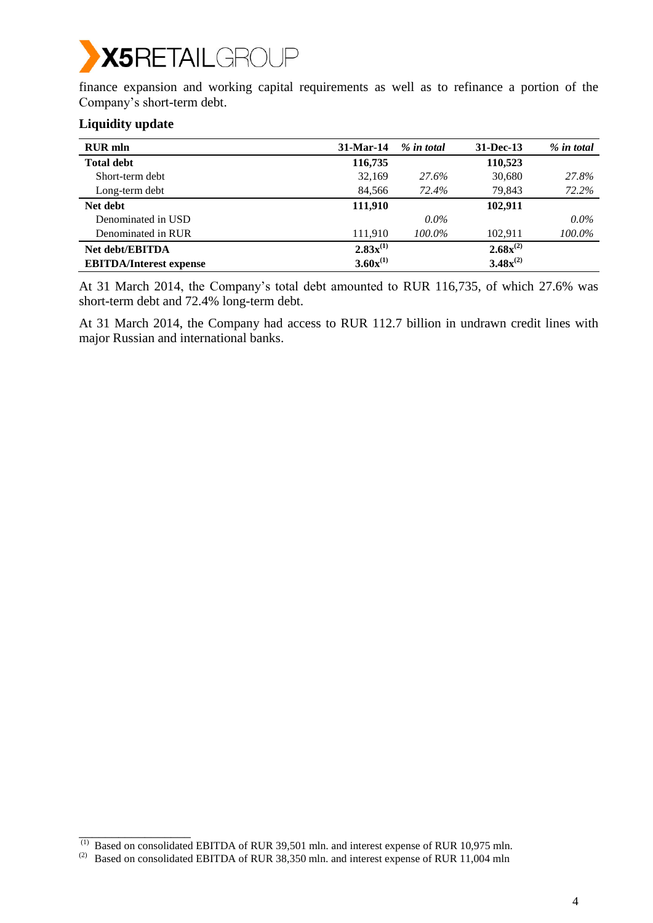# **X5RETAILGROUP**

finance expansion and working capital requirements as well as to refinance a portion of the Company's short-term debt.

## **Liquidity update**

 $\overline{\phantom{a}}$  , where  $\overline{\phantom{a}}$ 

| <b>RUR</b> mln                 | $31-Mar-14$   | % in total | 31-Dec-13     | % in total |
|--------------------------------|---------------|------------|---------------|------------|
| <b>Total debt</b>              | 116,735       |            | 110,523       |            |
| Short-term debt                | 32,169        | 27.6%      | 30,680        | 27.8%      |
| Long-term debt                 | 84,566        | 72.4%      | 79,843        | 72.2%      |
| Net debt                       | 111,910       |            | 102.911       |            |
| Denominated in USD             |               | $0.0\%$    |               | $0.0\%$    |
| Denominated in RUR             | 111,910       | 100.0%     | 102.911       | 100.0%     |
| <b>Net debt/EBITDA</b>         | $2.83x^{(1)}$ |            | $2.68x^{(2)}$ |            |
| <b>EBITDA/Interest expense</b> | $3.60x^{(1)}$ |            | $3.48x^{(2)}$ |            |

At 31 March 2014, the Company's total debt amounted to RUR 116,735, of which 27.6% was short-term debt and 72.4% long-term debt.

At 31 March 2014, the Company had access to RUR 112.7 billion in undrawn credit lines with major Russian and international banks.

 $^{(1)}$  Based on consolidated EBITDA of RUR 39,501 mln. and interest expense of RUR 10,975 mln.

<sup>&</sup>lt;sup>(2)</sup> Based on consolidated EBITDA of RUR 38,350 mln. and interest expense of RUR 11,004 mln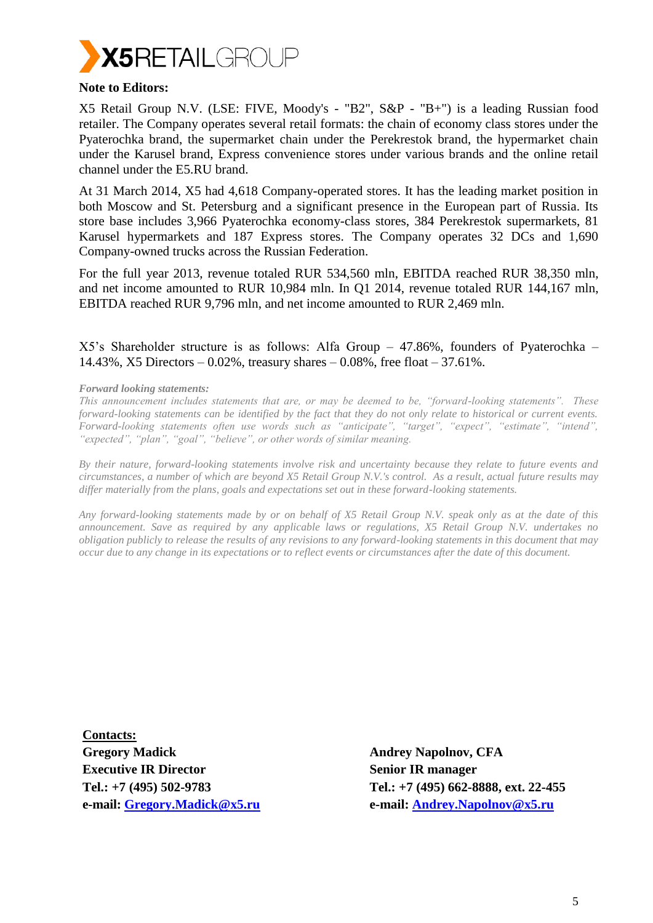

#### **Note to Editors:**

X5 Retail Group N.V. (LSE: FIVE, Moody's - "B2", S&P - "B+") is a leading Russian food retailer. The Company operates several retail formats: the chain of economy class stores under the Pyaterochka brand, the supermarket chain under the Perekrestok brand, the hypermarket chain under the Karusel brand, Express convenience stores under various brands and the online retail channel under the E5.RU brand.

At 31 March 2014, X5 had 4,618 Company-operated stores. It has the leading market position in both Moscow and St. Petersburg and a significant presence in the European part of Russia. Its store base includes 3,966 Pyaterochka economy-class stores, 384 Perekrestok supermarkets, 81 Karusel hypermarkets and 187 Express stores. The Company operates 32 DCs and 1,690 Company-owned trucks across the Russian Federation.

For the full year 2013, revenue totaled RUR 534,560 mln, EBITDA reached RUR 38,350 mln, and net income amounted to RUR 10,984 mln. In Q1 2014, revenue totaled RUR 144,167 mln, EBITDA reached RUR 9,796 mln, and net income amounted to RUR 2,469 mln.

X5's Shareholder structure is as follows: Alfa Group – 47.86%, founders of Pyaterochka – 14.43%, X5 Directors – 0.02%, treasury shares – 0.08%, free float – 37.61%.

#### *Forward looking statements:*

*This announcement includes statements that are, or may be deemed to be, "forward-looking statements". These forward-looking statements can be identified by the fact that they do not only relate to historical or current events. Forward-looking statements often use words such as "anticipate", "target", "expect", "estimate", "intend", "expected", "plan", "goal", "believe", or other words of similar meaning.*

*By their nature, forward-looking statements involve risk and uncertainty because they relate to future events and circumstances, a number of which are beyond X5 Retail Group N.V.'s control. As a result, actual future results may differ materially from the plans, goals and expectations set out in these forward-looking statements.* 

*Any forward-looking statements made by or on behalf of X5 Retail Group N.V. speak only as at the date of this announcement. Save as required by any applicable laws or regulations, X5 Retail Group N.V. undertakes no obligation publicly to release the results of any revisions to any forward-looking statements in this document that may occur due to any change in its expectations or to reflect events or circumstances after the date of this document.*

**Contacts: Gregory Madick Executive IR Director Tel.: +7 (495) 502-9783 e-mail: [Gregory.Madick@x5.ru](mailto:Gregory.Madick@x5.ru)**

**Andrey Napolnov, CFA Senior IR manager Tel.: +7 (495) 662-8888, ext. 22-455 e-mail: [Andrey.Napolnov@x5.ru](mailto:Andrey.Napolnov@x5.ru)**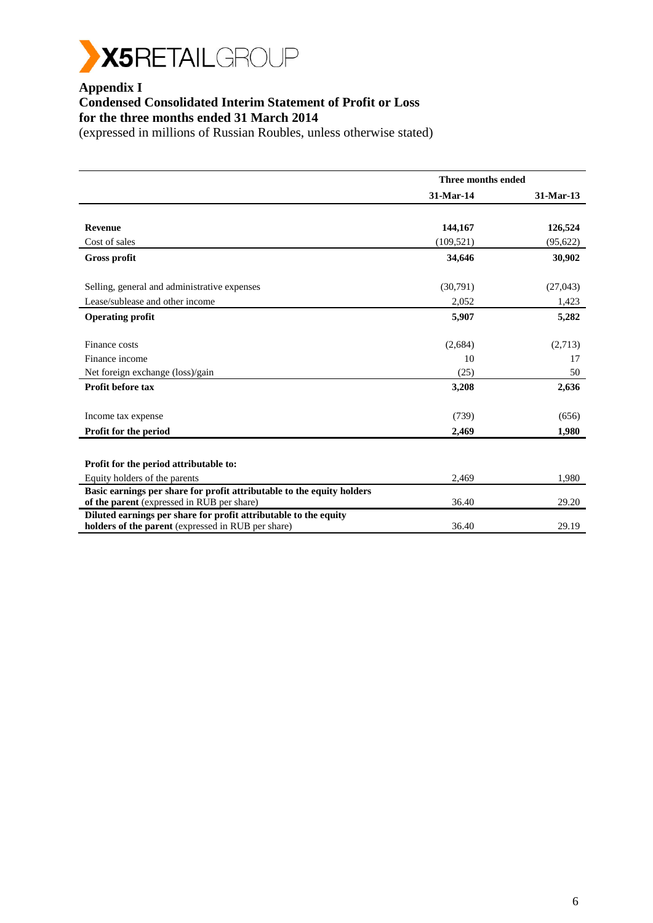

# **Appendix I**

## **Condensed Consolidated Interim Statement of Profit or Loss for the three months ended 31 March 2014**

|                                                                                                                        | Three months ended |           |
|------------------------------------------------------------------------------------------------------------------------|--------------------|-----------|
|                                                                                                                        | 31-Mar-14          | 31-Mar-13 |
|                                                                                                                        |                    |           |
| <b>Revenue</b>                                                                                                         | 144,167            | 126,524   |
| Cost of sales                                                                                                          | (109, 521)         | (95, 622) |
| <b>Gross profit</b>                                                                                                    | 34,646             | 30,902    |
| Selling, general and administrative expenses                                                                           | (30,791)           | (27,043)  |
| Lease/sublease and other income                                                                                        | 2,052              | 1,423     |
| <b>Operating profit</b>                                                                                                | 5,907              | 5,282     |
| Finance costs                                                                                                          | (2,684)            | (2,713)   |
| Finance income                                                                                                         | 10                 | 17        |
| Net foreign exchange (loss)/gain                                                                                       | (25)               | 50        |
| Profit before tax                                                                                                      | 3,208              | 2,636     |
| Income tax expense                                                                                                     | (739)              | (656)     |
| Profit for the period                                                                                                  | 2,469              | 1,980     |
| Profit for the period attributable to:                                                                                 |                    |           |
| Equity holders of the parents                                                                                          | 2,469              | 1,980     |
| Basic earnings per share for profit attributable to the equity holders<br>of the parent (expressed in RUB per share)   | 36.40              | 29.20     |
| Diluted earnings per share for profit attributable to the equity<br>holders of the parent (expressed in RUB per share) | 36.40              | 29.19     |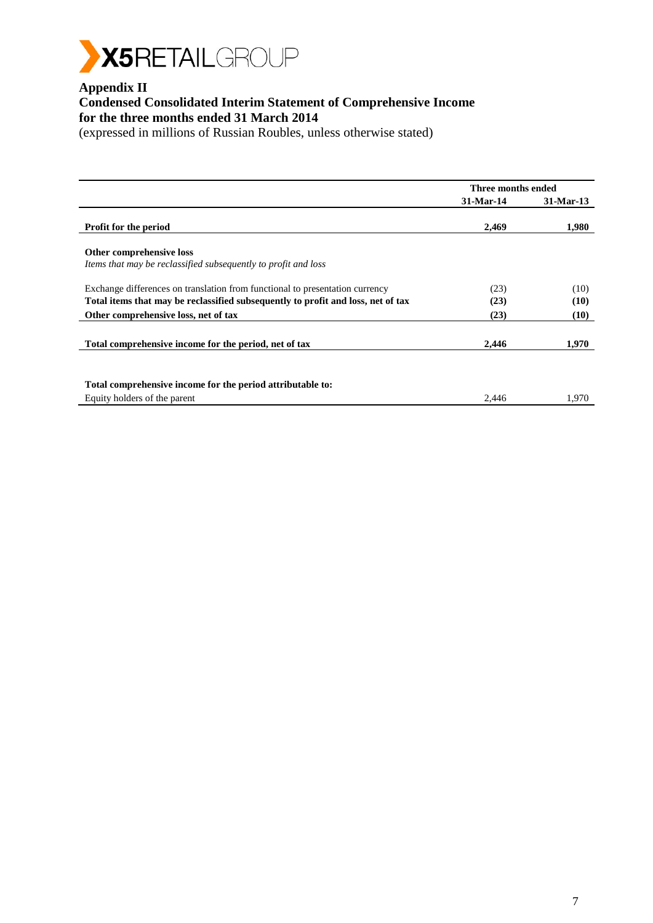

# **Appendix II**

## **Condensed Consolidated Interim Statement of Comprehensive Income for the three months ended 31 March 2014**

|                                                                                                                                                                  | Three months ended |              |
|------------------------------------------------------------------------------------------------------------------------------------------------------------------|--------------------|--------------|
|                                                                                                                                                                  | 31-Mar-14          | 31-Mar-13    |
| <b>Profit for the period</b>                                                                                                                                     | 2,469              | 1,980        |
| Other comprehensive loss<br>Items that may be reclassified subsequently to profit and loss                                                                       |                    |              |
| Exchange differences on translation from functional to presentation currency<br>Total items that may be reclassified subsequently to profit and loss, net of tax | (23)<br>(23)       | (10)<br>(10) |
| Other comprehensive loss, net of tax                                                                                                                             | (23)               | (10)         |
| Total comprehensive income for the period, net of tax                                                                                                            | 2,446              | 1,970        |
| Total comprehensive income for the period attributable to:<br>Equity holders of the parent                                                                       | 2,446              | 1,970        |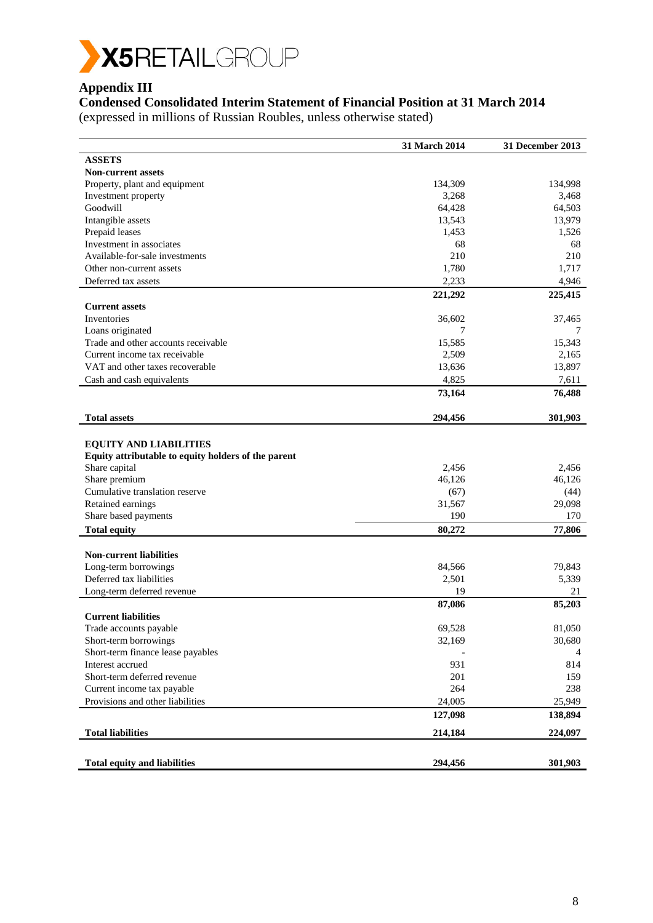

# **Appendix III**

# **Condensed Consolidated Interim Statement of Financial Position at 31 March 2014**

|                                                     | 31 March 2014 | 31 December 2013 |
|-----------------------------------------------------|---------------|------------------|
| <b>ASSETS</b>                                       |               |                  |
| <b>Non-current assets</b>                           |               |                  |
| Property, plant and equipment                       | 134,309       | 134,998          |
| Investment property                                 | 3,268         | 3,468            |
| Goodwill                                            | 64,428        | 64,503           |
| Intangible assets                                   | 13,543        | 13,979           |
| Prepaid leases                                      | 1,453         | 1,526            |
| Investment in associates                            | 68            | 68               |
| Available-for-sale investments                      | 210           | 210              |
| Other non-current assets                            | 1,780         | 1,717            |
| Deferred tax assets                                 | 2,233         | 4,946            |
|                                                     | 221,292       | 225,415          |
| <b>Current assets</b>                               |               |                  |
| Inventories                                         | 36,602        | 37,465           |
| Loans originated                                    | 7             | 7                |
| Trade and other accounts receivable                 | 15,585        | 15,343           |
| Current income tax receivable                       | 2,509         | 2,165            |
| VAT and other taxes recoverable                     | 13,636        | 13,897           |
| Cash and cash equivalents                           | 4,825         | 7,611            |
|                                                     | 73,164        | 76,488           |
|                                                     |               |                  |
| <b>Total assets</b>                                 | 294,456       | 301,903          |
|                                                     |               |                  |
| <b>EQUITY AND LIABILITIES</b>                       |               |                  |
| Equity attributable to equity holders of the parent |               |                  |
| Share capital                                       | 2,456         | 2,456            |
| Share premium                                       | 46,126        | 46,126           |
| Cumulative translation reserve                      | (67)          | (44)             |
| Retained earnings                                   | 31,567        | 29,098           |
| Share based payments                                | 190           | 170              |
| <b>Total equity</b>                                 | 80,272        | 77,806           |
|                                                     |               |                  |
| <b>Non-current liabilities</b>                      |               |                  |
| Long-term borrowings                                | 84,566        | 79,843           |
| Deferred tax liabilities                            | 2,501         | 5,339            |
| Long-term deferred revenue                          | 19            | 21               |
|                                                     | 87,086        | 85,203           |
| <b>Current liabilities</b>                          |               |                  |
| Trade accounts payable                              | 69,528        | 81,050           |
| Short-term borrowings                               | 32,169        | 30,680           |
| Short-term finance lease payables                   |               | 4                |
| Interest accrued                                    | 931           | 814              |
| Short-term deferred revenue                         | 201           | 159              |
| Current income tax payable                          | 264           | 238              |
| Provisions and other liabilities                    | 24,005        | 25,949           |
|                                                     | 127,098       | 138,894          |
| <b>Total liabilities</b>                            | 214,184       | 224,097          |
|                                                     |               |                  |
| <b>Total equity and liabilities</b>                 | 294,456       | 301,903          |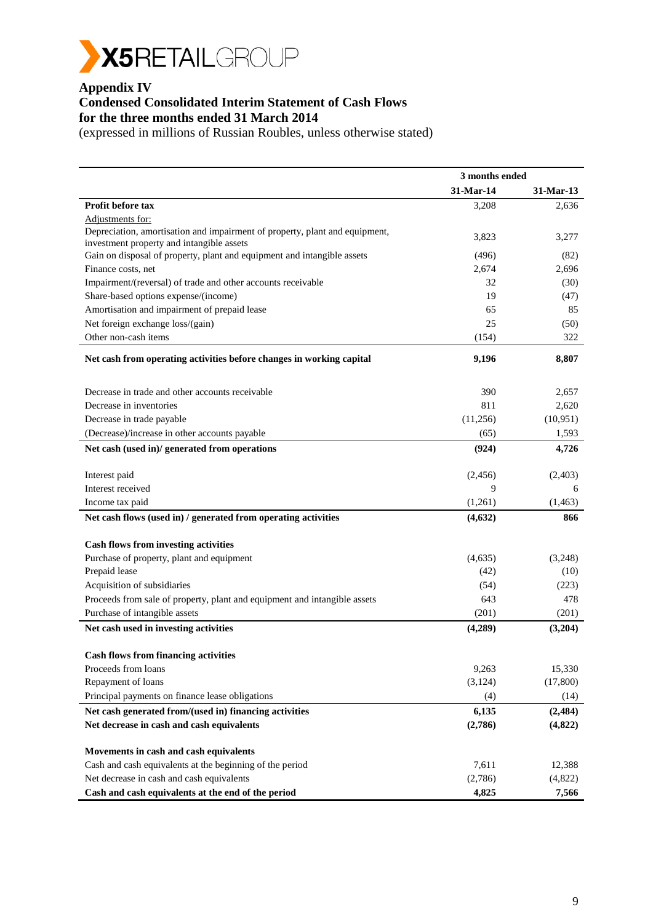

#### **Appendix IV**

# **Condensed Consolidated Interim Statement of Cash Flows**

**for the three months ended 31 March 2014**

|                                                                             | 3 months ended |           |
|-----------------------------------------------------------------------------|----------------|-----------|
|                                                                             | 31-Mar-14      | 31-Mar-13 |
| Profit before tax                                                           | 3,208          | 2,636     |
| Adjustments for:                                                            |                |           |
| Depreciation, amortisation and impairment of property, plant and equipment, | 3,823          | 3,277     |
| investment property and intangible assets                                   |                |           |
| Gain on disposal of property, plant and equipment and intangible assets     | (496)          | (82)      |
| Finance costs, net                                                          | 2,674          | 2,696     |
| Impairment/(reversal) of trade and other accounts receivable                | 32             | (30)      |
| Share-based options expense/(income)                                        | 19             | (47)      |
| Amortisation and impairment of prepaid lease                                | 65             | 85        |
| Net foreign exchange loss/(gain)                                            | 25             | (50)      |
| Other non-cash items                                                        | (154)          | 322       |
| Net cash from operating activities before changes in working capital        | 9,196          | 8,807     |
| Decrease in trade and other accounts receivable                             | 390            | 2,657     |
| Decrease in inventories                                                     | 811            | 2,620     |
| Decrease in trade payable                                                   | (11,256)       | (10, 951) |
| (Decrease)/increase in other accounts payable                               | (65)           | 1,593     |
| Net cash (used in)/ generated from operations                               | (924)          | 4,726     |
|                                                                             |                |           |
| Interest paid                                                               | (2,456)        | (2,403)   |
| Interest received                                                           | 9              | 6         |
| Income tax paid                                                             | (1,261)        | (1,463)   |
| Net cash flows (used in) / generated from operating activities              | (4, 632)       | 866       |
|                                                                             |                |           |
| <b>Cash flows from investing activities</b>                                 |                |           |
| Purchase of property, plant and equipment<br>Prepaid lease                  | (4,635)        | (3,248)   |
|                                                                             | (42)           | (10)      |
| Acquisition of subsidiaries                                                 | (54)           | (223)     |
| Proceeds from sale of property, plant and equipment and intangible assets   | 643            | 478       |
| Purchase of intangible assets                                               | (201)          | (201)     |
| Net cash used in investing activities                                       | (4,289)        | (3,204)   |
| <b>Cash flows from financing activities</b>                                 |                |           |
| Proceeds from loans                                                         | 9,263          | 15,330    |
| Repayment of loans                                                          | (3, 124)       | (17,800)  |
| Principal payments on finance lease obligations                             | (4)            | (14)      |
| Net cash generated from/(used in) financing activities                      | 6,135          | (2, 484)  |
| Net decrease in cash and cash equivalents                                   | (2,786)        | (4,822)   |
|                                                                             |                |           |
| Movements in cash and cash equivalents                                      |                |           |
| Cash and cash equivalents at the beginning of the period                    | 7,611          | 12,388    |
| Net decrease in cash and cash equivalents                                   | (2,786)        | (4,822)   |
| Cash and cash equivalents at the end of the period                          | 4,825          | 7,566     |